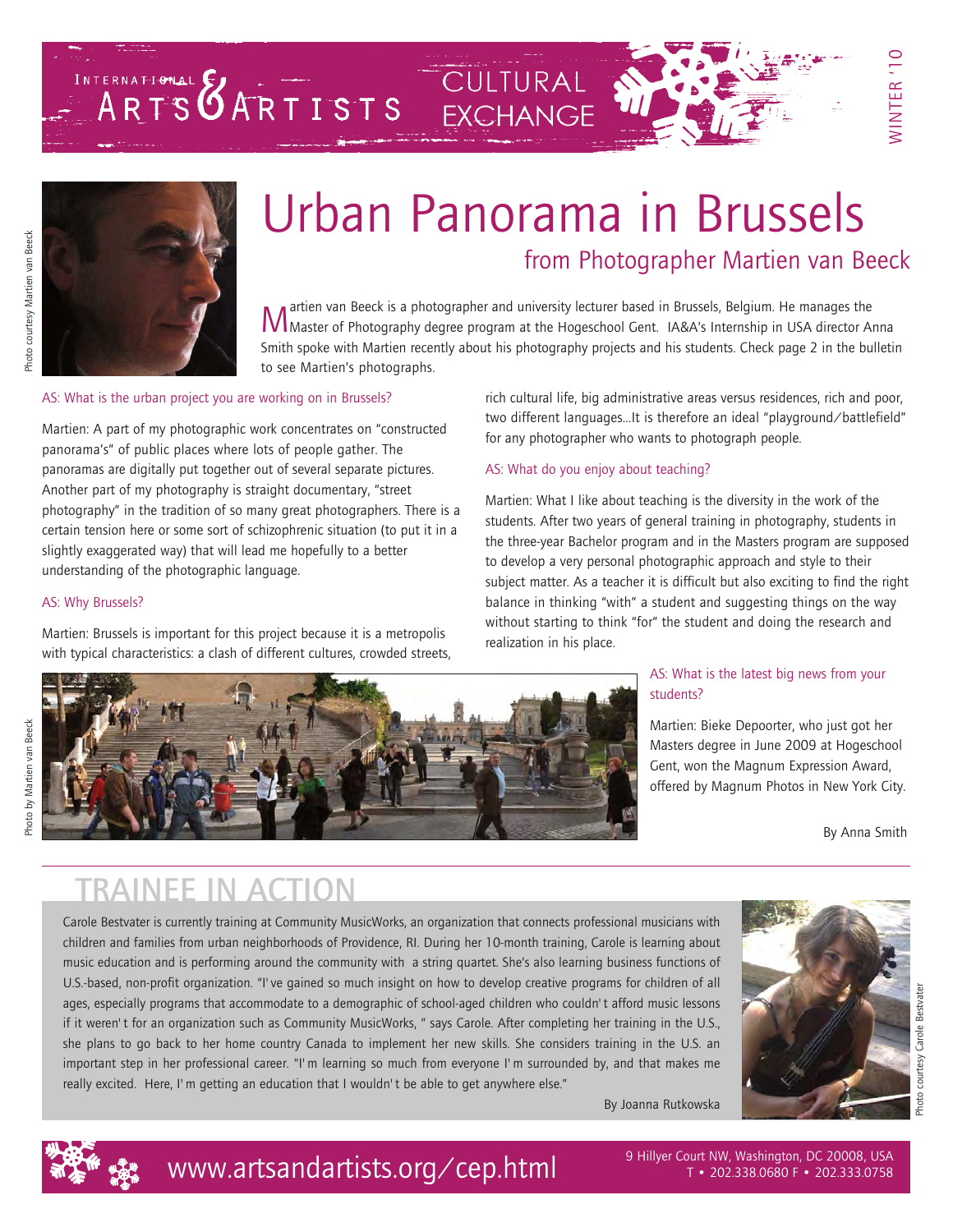# Urban Panorama in Brussels from Photographer [Martien van Beeck](www.martienvanbeeck.be)

Martien van Beeck is a photographer and university lecturer based in Brussels, Belgium. He manages the<br>MMaster of Photography degree program at the Hogeschool Gent. IA&A's Internship in USA director Anna Smith spoke with Martien recently about his photography projects and his students. Check page 2 in the bulletin to see Martien's photographs.

#### AS: What is the urban project you are working on in Brussels?

Martien: A part of my photographic work concentrates on "constructed panorama's" of public places where lots of people gather. The panoramas are digitally put together out of several separate pictures. Another part of my photography is straight documentary, "street photography" in the tradition of so many great photographers. There is a certain tension here or some sort of schizophrenic situation (to put it in a slightly exaggerated way) that will lead me hopefully to a better understanding of the photographic language.

#### AS: Why Brussels?

Martien: Brussels is important for this project because it is a metropolis with typical characteristics: a clash of different cultures, crowded streets, rich cultural life, big administrative areas versus residences, rich and poor, two different languages…It is therefore an ideal "playground/battlefield" for any photographer who wants to photograph people.

#### AS: What do you enjoy about teaching?

Martien: What I like about teaching is the diversity in the work of the students. After two years of general training in photography, students in the three-year Bachelor program and in the Masters program are supposed to develop a very personal photographic approach and style to their subject matter. As a teacher it is difficult but also exciting to find the right balance in thinking "with" a student and suggesting things on the way without starting to think "for" the student and doing the research and realization in his place.



INTERNATIONAL EXCHANGE

#### AS: What is the latest big news from your students?

Martien: [Bieke Depoorter,](http://www.biekedepoorter.be/) who just got her Masters degree in June 2009 at [Hogeschool](http://www.hogent.be/over_hogent/departementen/acad.cfm) [Gent](http://www.hogent.be/over_hogent/departementen/acad.cfm), won th[e Magnum Expression Award,](http://expression.magnumphotos.com/) offered by Magnum Photos in New York City.

By Anna Smith

### TRAINEE IN ACTION

Carole Bestvater is currently training at Community MusicWorks, an organization that connects professional musicians with children and families from urban neighborhoods of Providence, RI. During her 10-month training, Carole is learning about music education and is performing around the community with a string quartet. She's also learning business functions of U.S.-based, non-profit organization. "I've gained so much insight on how to develop creative programs for children of all ages, especially programs that accommodate to a demographic of school-aged children who couldn't afford music lessons if it weren't for an organization such as Community MusicWorks, " says Carole. After completing her training in the U.S., she plans to go back to her home country Canada to implement her new skills. She considers training in the U.S. an important step in her professional career. "I'm learning so much from everyone I'm surrounded by, and that makes me really excited. Here, I'm getting an education that I wouldn't be able to get anywhere else."

By Joanna Rutkowska